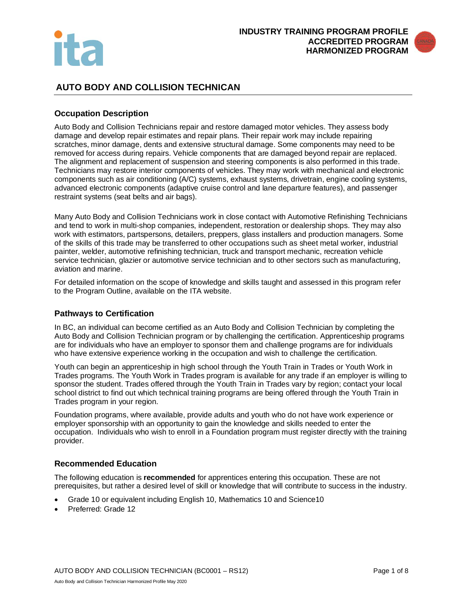



# **AUTO BODY AND COLLISION TECHNICAN**

#### **Occupation Description**

Auto Body and Collision Technicians repair and restore damaged motor vehicles. They assess body damage and develop repair estimates and repair plans. Their repair work may include repairing scratches, minor damage, dents and extensive structural damage. Some components may need to be removed for access during repairs. Vehicle components that are damaged beyond repair are replaced. The alignment and replacement of suspension and steering components is also performed in this trade. Technicians may restore interior components of vehicles. They may work with mechanical and electronic components such as air conditioning (A/C) systems, exhaust systems, drivetrain, engine cooling systems, advanced electronic components (adaptive cruise control and lane departure features), and passenger restraint systems (seat belts and air bags).

Many Auto Body and Collision Technicians work in close contact with Automotive Refinishing Technicians and tend to work in multi-shop companies, independent, restoration or dealership shops. They may also work with estimators, partspersons, detailers, preppers, glass installers and production managers. Some of the skills of this trade may be transferred to other occupations such as sheet metal worker, industrial painter, welder, automotive refinishing technician, truck and transport mechanic, recreation vehicle service technician, glazier or automotive service technician and to other sectors such as manufacturing, aviation and marine.

For detailed information on the scope of knowledge and skills taught and assessed in this program refer to the Program Outline, available on the ITA website.

## **Pathways to Certification**

In BC, an individual can become certified as an Auto Body and Collision Technician by completing the Auto Body and Collision Technician program or by challenging the certification. Apprenticeship programs are for individuals who have an employer to sponsor them and challenge programs are for individuals who have extensive experience working in the occupation and wish to challenge the certification.

Youth can begin an apprenticeship in high school through the Youth Train in Trades or Youth Work in Trades programs. The Youth Work in Trades program is available for any trade if an employer is willing to sponsor the student. Trades offered through the Youth Train in Trades vary by region; contact your local school district to find out which technical training programs are being offered through the Youth Train in Trades program in your region.

Foundation programs, where available, provide adults and youth who do not have work experience or employer sponsorship with an opportunity to gain the knowledge and skills needed to enter the occupation. Individuals who wish to enroll in a Foundation program must register directly with the training provider.

#### **Recommended Education**

The following education is **recommended** for apprentices entering this occupation. These are not prerequisites, but rather a desired level of skill or knowledge that will contribute to success in the industry.

- Grade 10 or equivalent including English 10, Mathematics 10 and Science10
- Preferred: Grade 12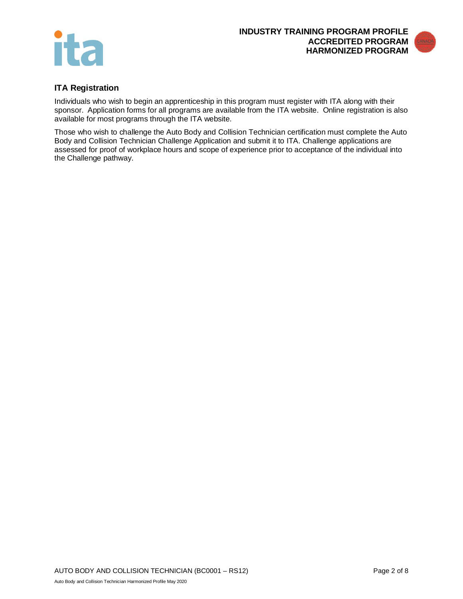



## **ITA Registration**

Individuals who wish to begin an apprenticeship in this program must register with ITA along with their sponsor. Application forms for all programs are available from the ITA website. Online registration is also available for most programs through the ITA website.

Those who wish to challenge the Auto Body and Collision Technician certification must complete the Auto Body and Collision Technician Challenge Application and submit it to ITA. Challenge applications are assessed for proof of workplace hours and scope of experience prior to acceptance of the individual into the Challenge pathway.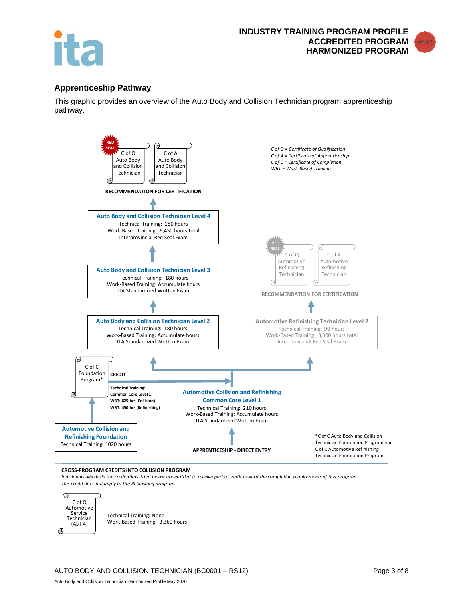

#### **Apprenticeship Pathway**

This graphic provides an overview of the Auto Body and Collision Technician program apprenticeship pathway.



#### **CROSS-PROGRAM CREDITS INTO COLLISION PROGRAM**

Auto Body and Collision Technician Harmonized Profile May 2020

*Individuals who hold the credentials listed below are entitled to receive partial credit toward the completion requirements of this program. This credit does not apply to the Refinishing program.*



Technical Training: None Work-Based Training: 3,360 hours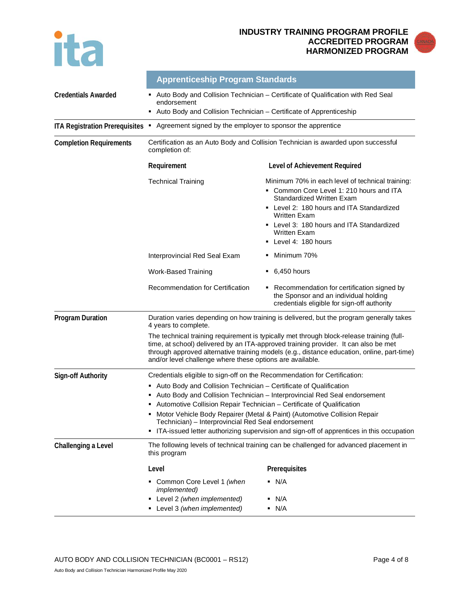

#### **INDUSTRY TRAINING PROGRAM PROFILE ACCREDITED PROGRAM HARMONIZED PROGRAM**



|                                       | <b>Apprenticeship Program Standards</b>                                                                                                                                                                                                                                                                                                     |                                                                                                                                                                                                                                                                                |  |
|---------------------------------------|---------------------------------------------------------------------------------------------------------------------------------------------------------------------------------------------------------------------------------------------------------------------------------------------------------------------------------------------|--------------------------------------------------------------------------------------------------------------------------------------------------------------------------------------------------------------------------------------------------------------------------------|--|
| <b>Credentials Awarded</b>            | Auto Body and Collision Technician - Certificate of Qualification with Red Seal<br>endorsement<br>• Auto Body and Collision Technician - Certificate of Apprenticeship                                                                                                                                                                      |                                                                                                                                                                                                                                                                                |  |
| <b>ITA Registration Prerequisites</b> |                                                                                                                                                                                                                                                                                                                                             |                                                                                                                                                                                                                                                                                |  |
|                                       | Agreement signed by the employer to sponsor the apprentice<br>л,                                                                                                                                                                                                                                                                            |                                                                                                                                                                                                                                                                                |  |
| <b>Completion Requirements</b>        | Certification as an Auto Body and Collision Technician is awarded upon successful<br>completion of:                                                                                                                                                                                                                                         |                                                                                                                                                                                                                                                                                |  |
|                                       | Requirement                                                                                                                                                                                                                                                                                                                                 | Level of Achievement Required                                                                                                                                                                                                                                                  |  |
|                                       | <b>Technical Training</b>                                                                                                                                                                                                                                                                                                                   | Minimum 70% in each level of technical training:<br>Common Core Level 1: 210 hours and ITA<br>Standardized Written Exam<br>• Level 2: 180 hours and ITA Standardized<br><b>Written Exam</b><br>• Level 3: 180 hours and ITA Standardized<br>Written Exam<br>Level 4: 180 hours |  |
|                                       | Interprovincial Red Seal Exam                                                                                                                                                                                                                                                                                                               | Minimum 70%                                                                                                                                                                                                                                                                    |  |
|                                       | <b>Work-Based Training</b>                                                                                                                                                                                                                                                                                                                  | 6,450 hours<br>٠                                                                                                                                                                                                                                                               |  |
|                                       | Recommendation for Certification                                                                                                                                                                                                                                                                                                            | Recommendation for certification signed by<br>the Sponsor and an individual holding<br>credentials eligible for sign-off authority                                                                                                                                             |  |
| <b>Program Duration</b>               | 4 years to complete.                                                                                                                                                                                                                                                                                                                        | Duration varies depending on how training is delivered, but the program generally takes                                                                                                                                                                                        |  |
|                                       | The technical training requirement is typically met through block-release training (full-<br>time, at school) delivered by an ITA-approved training provider. It can also be met<br>through approved alternative training models (e.g., distance education, online, part-time)<br>and/or level challenge where these options are available. |                                                                                                                                                                                                                                                                                |  |
| Sign-off Authority                    | Credentials eligible to sign-off on the Recommendation for Certification:                                                                                                                                                                                                                                                                   |                                                                                                                                                                                                                                                                                |  |
|                                       | Auto Body and Collision Technician - Certificate of Qualification                                                                                                                                                                                                                                                                           |                                                                                                                                                                                                                                                                                |  |
|                                       | Auto Body and Collision Technician - Interprovincial Red Seal endorsement<br>Automotive Collision Repair Technician - Certificate of Qualification<br>Е                                                                                                                                                                                     |                                                                                                                                                                                                                                                                                |  |
|                                       | Motor Vehicle Body Repairer (Metal & Paint) (Automotive Collision Repair<br>Technician) - Interprovincial Red Seal endorsement                                                                                                                                                                                                              |                                                                                                                                                                                                                                                                                |  |
|                                       | ITA-issued letter authorizing supervision and sign-off of apprentices in this occupation<br>٠                                                                                                                                                                                                                                               |                                                                                                                                                                                                                                                                                |  |
| Challenging a Level                   | The following levels of technical training can be challenged for advanced placement in<br>this program                                                                                                                                                                                                                                      |                                                                                                                                                                                                                                                                                |  |
|                                       | Level                                                                                                                                                                                                                                                                                                                                       | Prerequisites                                                                                                                                                                                                                                                                  |  |
|                                       | Common Core Level 1 (when<br><i>implemented)</i><br>Level 2 (when implemented)<br>Level 3 (when implemented)                                                                                                                                                                                                                                | $\blacksquare$ N/A<br>$\blacksquare$ N/A<br>$\blacksquare$ N/A                                                                                                                                                                                                                 |  |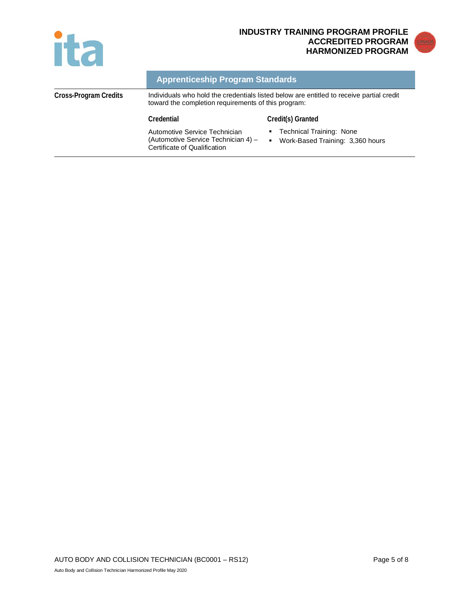



|                       | <b>Apprenticeship Program Standards</b>                                                                                                         |                                                                          |
|-----------------------|-------------------------------------------------------------------------------------------------------------------------------------------------|--------------------------------------------------------------------------|
| Cross-Program Credits | Individuals who hold the credentials listed below are entitled to receive partial credit<br>toward the completion requirements of this program: |                                                                          |
|                       | Credential                                                                                                                                      | Credit(s) Granted                                                        |
|                       | Automotive Service Technician<br>(Automotive Service Technician 4) -<br>Certificate of Qualification                                            | <b>Technical Training: None</b><br>Work-Based Training: 3,360 hours<br>٠ |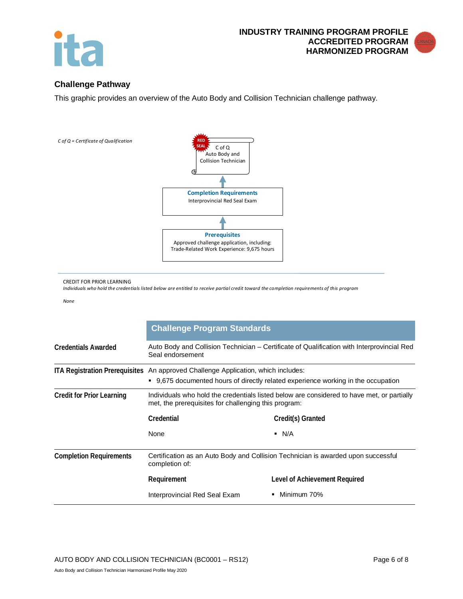

# **Challenge Pathway**

This graphic provides an overview of the Auto Body and Collision Technician challenge pathway.



CREDIT FOR PRIOR LEARNING

*Individuals who hold the credentials listed below are entitled to receive partial credit toward the completion requirements of this program*

*None*

|                                  | <b>Challenge Program Standards</b>                                                                                                                 |                               |  |
|----------------------------------|----------------------------------------------------------------------------------------------------------------------------------------------------|-------------------------------|--|
| <b>Credentials Awarded</b>       | Auto Body and Collision Technician – Certificate of Qualification with Interprovincial Red<br>Seal endorsement                                     |                               |  |
|                                  | ITA Registration Prerequisites An approved Challenge Application, which includes:                                                                  |                               |  |
|                                  | • 9,675 documented hours of directly related experience working in the occupation                                                                  |                               |  |
| <b>Credit for Prior Learning</b> | Individuals who hold the credentials listed below are considered to have met, or partially<br>met, the prerequisites for challenging this program: |                               |  |
|                                  | Credential                                                                                                                                         | Credit(s) Granted             |  |
|                                  | None                                                                                                                                               | $\blacksquare$ N/A            |  |
| <b>Completion Requirements</b>   | Certification as an Auto Body and Collision Technician is awarded upon successful<br>completion of:                                                |                               |  |
|                                  | Requirement                                                                                                                                        | Level of Achievement Required |  |
|                                  | Interprovincial Red Seal Exam                                                                                                                      | Minimum 70%                   |  |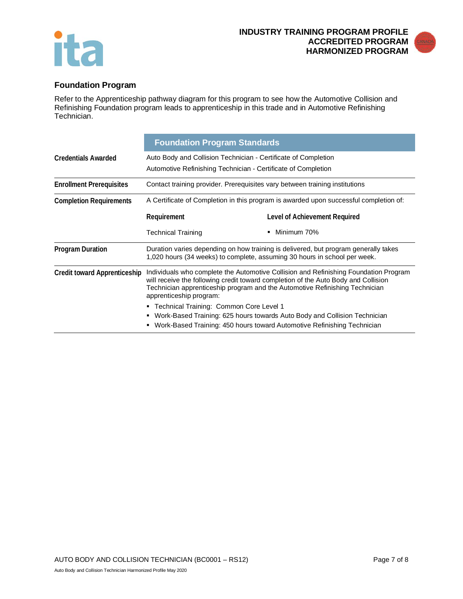



# **Foundation Program**

Refer to the Apprenticeship pathway diagram for this program to see how the Automotive Collision and Refinishing Foundation program leads to apprenticeship in this trade and in Automotive Refinishing Technician.

|                                     | <b>Foundation Program Standards</b>                                                                                                                                                                                                                                                  |                                                                                                                                                        |  |
|-------------------------------------|--------------------------------------------------------------------------------------------------------------------------------------------------------------------------------------------------------------------------------------------------------------------------------------|--------------------------------------------------------------------------------------------------------------------------------------------------------|--|
| <b>Credentials Awarded</b>          | Auto Body and Collision Technician - Certificate of Completion<br>Automotive Refinishing Technician - Certificate of Completion                                                                                                                                                      |                                                                                                                                                        |  |
| <b>Enrollment Prerequisites</b>     | Contact training provider. Prerequisites vary between training institutions                                                                                                                                                                                                          |                                                                                                                                                        |  |
| <b>Completion Requirements</b>      | A Certificate of Completion in this program is awarded upon successful completion of:                                                                                                                                                                                                |                                                                                                                                                        |  |
|                                     | Requirement                                                                                                                                                                                                                                                                          | Level of Achievement Required                                                                                                                          |  |
|                                     | <b>Technical Training</b>                                                                                                                                                                                                                                                            | Minimum 70%<br>٠                                                                                                                                       |  |
| <b>Program Duration</b>             | Duration varies depending on how training is delivered, but program generally takes<br>1,020 hours (34 weeks) to complete, assuming 30 hours in school per week.                                                                                                                     |                                                                                                                                                        |  |
| <b>Credit toward Apprenticeship</b> | Individuals who complete the Automotive Collision and Refinishing Foundation Program<br>will receive the following credit toward completion of the Auto Body and Collision<br>Technician apprenticeship program and the Automotive Refinishing Technician<br>apprenticeship program: |                                                                                                                                                        |  |
|                                     | • Technical Training: Common Core Level 1<br>٠                                                                                                                                                                                                                                       | Work-Based Training: 625 hours towards Auto Body and Collision Technician<br>• Work-Based Training: 450 hours toward Automotive Refinishing Technician |  |